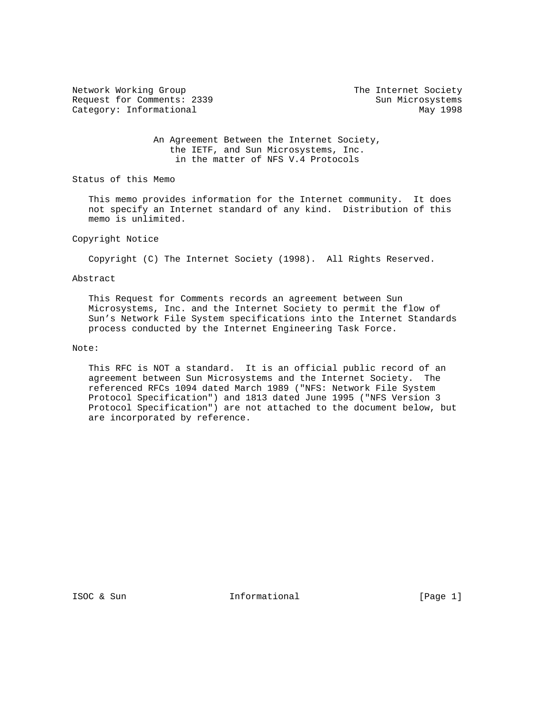Network Working Group The Internet Society Request for Comments: 2339 Sun Microsystems Category: Informational May 1998

 An Agreement Between the Internet Society, the IETF, and Sun Microsystems, Inc. in the matter of NFS V.4 Protocols

Status of this Memo

 This memo provides information for the Internet community. It does not specify an Internet standard of any kind. Distribution of this memo is unlimited.

### Copyright Notice

Copyright (C) The Internet Society (1998). All Rights Reserved.

### Abstract

 This Request for Comments records an agreement between Sun Microsystems, Inc. and the Internet Society to permit the flow of Sun's Network File System specifications into the Internet Standards process conducted by the Internet Engineering Task Force.

# Note:

 This RFC is NOT a standard. It is an official public record of an agreement between Sun Microsystems and the Internet Society. The referenced RFCs 1094 dated March 1989 ("NFS: Network File System Protocol Specification") and 1813 dated June 1995 ("NFS Version 3 Protocol Specification") are not attached to the document below, but are incorporated by reference.

ISOC & Sun **Informational** [Page 1]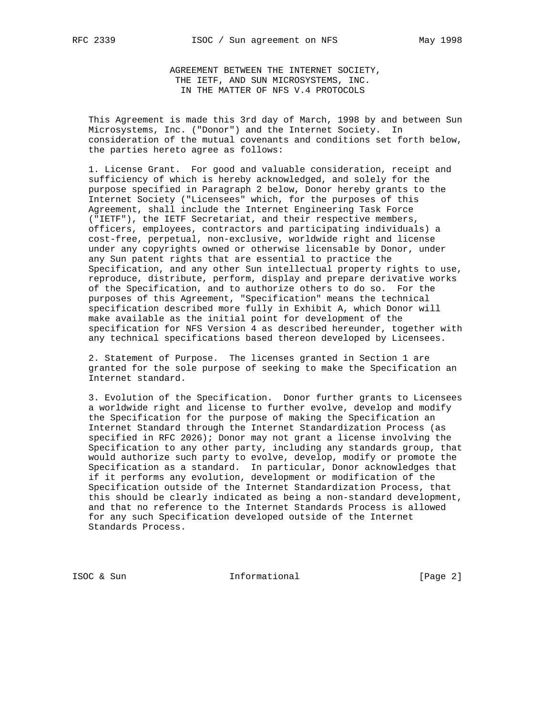AGREEMENT BETWEEN THE INTERNET SOCIETY, THE IETF, AND SUN MICROSYSTEMS, INC. IN THE MATTER OF NFS V.4 PROTOCOLS

 This Agreement is made this 3rd day of March, 1998 by and between Sun Microsystems, Inc. ("Donor") and the Internet Society. In consideration of the mutual covenants and conditions set forth below, the parties hereto agree as follows:

 1. License Grant. For good and valuable consideration, receipt and sufficiency of which is hereby acknowledged, and solely for the purpose specified in Paragraph 2 below, Donor hereby grants to the Internet Society ("Licensees" which, for the purposes of this Agreement, shall include the Internet Engineering Task Force ("IETF"), the IETF Secretariat, and their respective members, officers, employees, contractors and participating individuals) a cost-free, perpetual, non-exclusive, worldwide right and license under any copyrights owned or otherwise licensable by Donor, under any Sun patent rights that are essential to practice the Specification, and any other Sun intellectual property rights to use, reproduce, distribute, perform, display and prepare derivative works of the Specification, and to authorize others to do so. For the purposes of this Agreement, "Specification" means the technical specification described more fully in Exhibit A, which Donor will make available as the initial point for development of the specification for NFS Version 4 as described hereunder, together with any technical specifications based thereon developed by Licensees.

 2. Statement of Purpose. The licenses granted in Section 1 are granted for the sole purpose of seeking to make the Specification an Internet standard.

 3. Evolution of the Specification. Donor further grants to Licensees a worldwide right and license to further evolve, develop and modify the Specification for the purpose of making the Specification an Internet Standard through the Internet Standardization Process (as specified in RFC 2026); Donor may not grant a license involving the Specification to any other party, including any standards group, that would authorize such party to evolve, develop, modify or promote the Specification as a standard. In particular, Donor acknowledges that if it performs any evolution, development or modification of the Specification outside of the Internet Standardization Process, that this should be clearly indicated as being a non-standard development, and that no reference to the Internet Standards Process is allowed for any such Specification developed outside of the Internet Standards Process.

ISOC & Sun **Informational** [Page 2]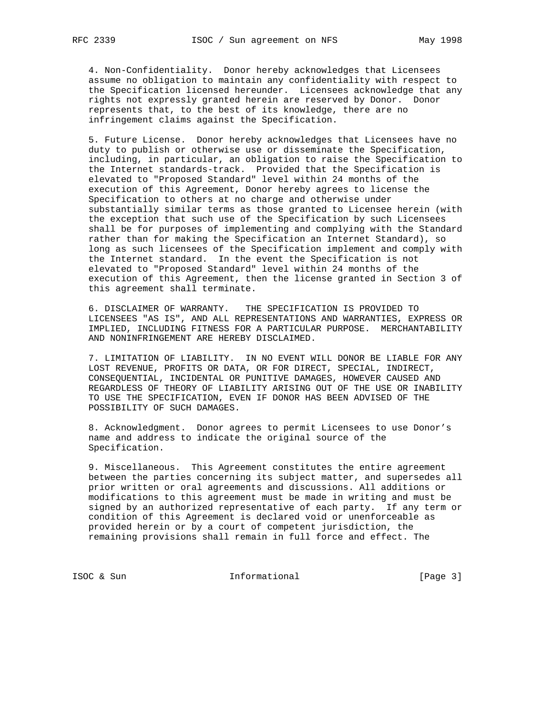4. Non-Confidentiality. Donor hereby acknowledges that Licensees assume no obligation to maintain any confidentiality with respect to the Specification licensed hereunder. Licensees acknowledge that any rights not expressly granted herein are reserved by Donor. Donor represents that, to the best of its knowledge, there are no infringement claims against the Specification.

 5. Future License. Donor hereby acknowledges that Licensees have no duty to publish or otherwise use or disseminate the Specification, including, in particular, an obligation to raise the Specification to the Internet standards-track. Provided that the Specification is elevated to "Proposed Standard" level within 24 months of the execution of this Agreement, Donor hereby agrees to license the Specification to others at no charge and otherwise under substantially similar terms as those granted to Licensee herein (with the exception that such use of the Specification by such Licensees shall be for purposes of implementing and complying with the Standard rather than for making the Specification an Internet Standard), so long as such licensees of the Specification implement and comply with the Internet standard. In the event the Specification is not elevated to "Proposed Standard" level within 24 months of the execution of this Agreement, then the license granted in Section 3 of this agreement shall terminate.

 6. DISCLAIMER OF WARRANTY. THE SPECIFICATION IS PROVIDED TO LICENSEES "AS IS", AND ALL REPRESENTATIONS AND WARRANTIES, EXPRESS OR IMPLIED, INCLUDING FITNESS FOR A PARTICULAR PURPOSE. MERCHANTABILITY AND NONINFRINGEMENT ARE HEREBY DISCLAIMED.

 7. LIMITATION OF LIABILITY. IN NO EVENT WILL DONOR BE LIABLE FOR ANY LOST REVENUE, PROFITS OR DATA, OR FOR DIRECT, SPECIAL, INDIRECT, CONSEQUENTIAL, INCIDENTAL OR PUNITIVE DAMAGES, HOWEVER CAUSED AND REGARDLESS OF THEORY OF LIABILITY ARISING OUT OF THE USE OR INABILITY TO USE THE SPECIFICATION, EVEN IF DONOR HAS BEEN ADVISED OF THE POSSIBILITY OF SUCH DAMAGES.

 8. Acknowledgment. Donor agrees to permit Licensees to use Donor's name and address to indicate the original source of the Specification.

 9. Miscellaneous. This Agreement constitutes the entire agreement between the parties concerning its subject matter, and supersedes all prior written or oral agreements and discussions. All additions or modifications to this agreement must be made in writing and must be signed by an authorized representative of each party. If any term or condition of this Agreement is declared void or unenforceable as provided herein or by a court of competent jurisdiction, the remaining provisions shall remain in full force and effect. The

ISOC & Sun Informational [Page 3]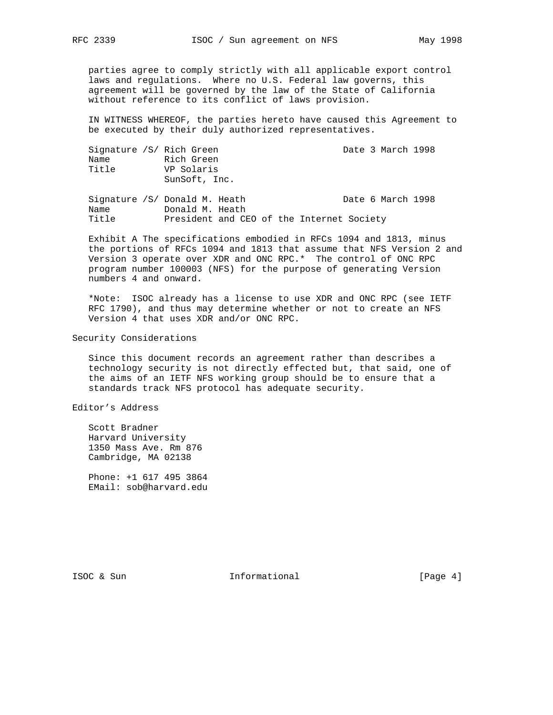parties agree to comply strictly with all applicable export control laws and regulations. Where no U.S. Federal law governs, this agreement will be governed by the law of the State of California without reference to its conflict of laws provision.

 IN WITNESS WHEREOF, the parties hereto have caused this Agreement to be executed by their duly authorized representatives.

| Signature /S/ Rich Green<br>Name<br>Title | Rich Green<br>VP Solaris<br>SunSoft, Inc.                                                     |  | Date 3 March 1998 |  |
|-------------------------------------------|-----------------------------------------------------------------------------------------------|--|-------------------|--|
| Name<br>Title                             | Signature /S/ Donald M. Heath<br>Donald M. Heath<br>President and CEO of the Internet Society |  | Date 6 March 1998 |  |

 Exhibit A The specifications embodied in RFCs 1094 and 1813, minus the portions of RFCs 1094 and 1813 that assume that NFS Version 2 and Version 3 operate over XDR and ONC RPC.\* The control of ONC RPC program number 100003 (NFS) for the purpose of generating Version numbers 4 and onward.

 \*Note: ISOC already has a license to use XDR and ONC RPC (see IETF RFC 1790), and thus may determine whether or not to create an NFS Version 4 that uses XDR and/or ONC RPC.

### Security Considerations

 Since this document records an agreement rather than describes a technology security is not directly effected but, that said, one of the aims of an IETF NFS working group should be to ensure that a standards track NFS protocol has adequate security.

Editor's Address

 Scott Bradner Harvard University 1350 Mass Ave. Rm 876 Cambridge, MA 02138

 Phone: +1 617 495 3864 EMail: sob@harvard.edu

ISOC & Sun **Informational** [Page 4]